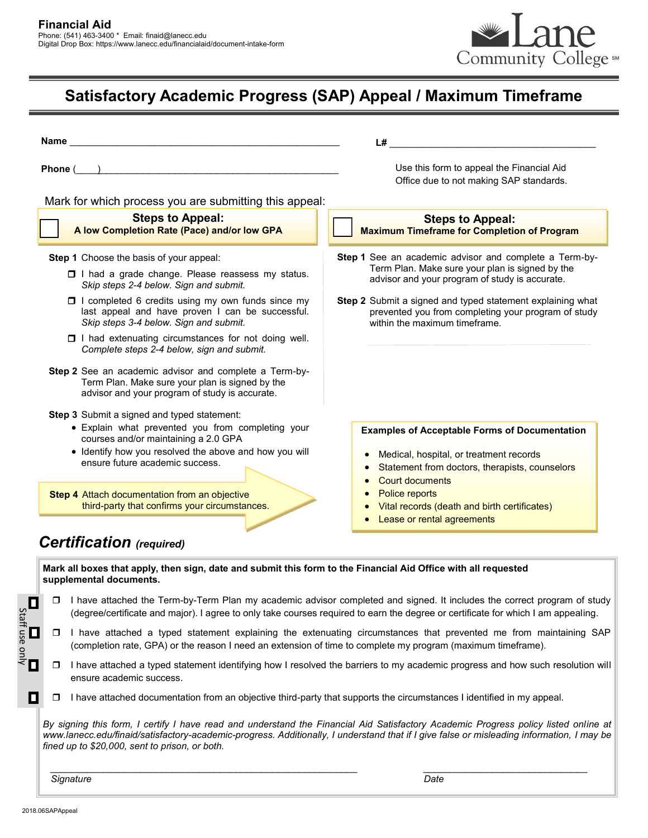

## **Satisfactory Academic Progress (SAP) Appeal / Maximum Timeframe**

| Phone (<br><u> 1989 - Johann Stoff, deutscher Stoffen und der Stoffen und der Stoffen und der Stoffen und der Stoffen und der</u> |                                                                                                                                                                                                                                       | Use this form to appeal the Financial Aid                                                                                                                                                                                                                     |  |  |
|-----------------------------------------------------------------------------------------------------------------------------------|---------------------------------------------------------------------------------------------------------------------------------------------------------------------------------------------------------------------------------------|---------------------------------------------------------------------------------------------------------------------------------------------------------------------------------------------------------------------------------------------------------------|--|--|
|                                                                                                                                   |                                                                                                                                                                                                                                       | Office due to not making SAP standards.                                                                                                                                                                                                                       |  |  |
|                                                                                                                                   | Mark for which process you are submitting this appeal:                                                                                                                                                                                |                                                                                                                                                                                                                                                               |  |  |
|                                                                                                                                   | <b>Steps to Appeal:</b><br>A low Completion Rate (Pace) and/or low GPA                                                                                                                                                                | <b>Steps to Appeal:</b><br><b>Maximum Timeframe for Completion of Program</b>                                                                                                                                                                                 |  |  |
| <b>Step 1</b> Choose the basis of your appeal:                                                                                    |                                                                                                                                                                                                                                       | Step 1 See an academic advisor and complete a Term-by-                                                                                                                                                                                                        |  |  |
|                                                                                                                                   | I I had a grade change. Please reassess my status.<br>Skip steps 2-4 below. Sign and submit.                                                                                                                                          | Term Plan. Make sure your plan is signed by the<br>advisor and your program of study is accurate.                                                                                                                                                             |  |  |
|                                                                                                                                   | □ I completed 6 credits using my own funds since my<br>last appeal and have proven I can be successful.<br>Skip steps 3-4 below. Sign and submit.                                                                                     | Step 2 Submit a signed and typed statement explaining what<br>prevented you from completing your program of study<br>within the maximum timeframe.                                                                                                            |  |  |
|                                                                                                                                   | I had extenuating circumstances for not doing well.<br>Complete steps 2-4 below, sign and submit.                                                                                                                                     |                                                                                                                                                                                                                                                               |  |  |
|                                                                                                                                   | Step 2 See an academic advisor and complete a Term-by-<br>Term Plan. Make sure your plan is signed by the<br>advisor and your program of study is accurate.                                                                           |                                                                                                                                                                                                                                                               |  |  |
|                                                                                                                                   | Step 3 Submit a signed and typed statement:<br>• Explain what prevented you from completing your<br>courses and/or maintaining a 2.0 GPA<br>• Identify how you resolved the above and how you will<br>ensure future academic success. | <b>Examples of Acceptable Forms of Documentation</b><br>Medical, hospital, or treatment records<br>$\bullet$<br>Statement from doctors, therapists, counselors<br>Court documents                                                                             |  |  |
|                                                                                                                                   | Step 4 Attach documentation from an objective<br>third-party that confirms your circumstances.                                                                                                                                        | Police reports<br>Vital records (death and birth certificates)<br>Lease or rental agreements                                                                                                                                                                  |  |  |
| <b>Certification</b> (required)<br>supplemental documents.                                                                        |                                                                                                                                                                                                                                       | Mark all boxes that apply, then sign, date and submit this form to the Financial Aid Office with all requested                                                                                                                                                |  |  |
| □                                                                                                                                 |                                                                                                                                                                                                                                       | I have attached the Term-by-Term Plan my academic advisor completed and signed. It includes the correct program of study<br>(degree/certificate and major). I agree to only take courses required to earn the degree or certificate for which I am appealing. |  |  |
| $\Box$ $\Box$ $\Box$<br>□                                                                                                         |                                                                                                                                                                                                                                       | I have attached a typed statement explaining the extenuating circumstances that prevented me from maintaining SAP<br>(completion rate, GPA) or the reason I need an extension of time to complete my program (maximum timeframe).                             |  |  |
| $\Box$                                                                                                                            | I have attached a typed statement identifying how I resolved the barriers to my academic progress and how such resolution will<br>ensure academic success.                                                                            |                                                                                                                                                                                                                                                               |  |  |
| О<br>□                                                                                                                            |                                                                                                                                                                                                                                       | I have attached documentation from an objective third-party that supports the circumstances I identified in my appeal.                                                                                                                                        |  |  |

 *\_\_\_\_\_\_\_\_\_\_\_\_\_\_\_\_\_\_\_\_\_\_\_\_\_\_\_\_\_\_\_\_\_\_\_\_\_\_\_\_\_\_\_\_\_\_\_\_\_\_\_\_\_\_\_\_\_\_ \_\_\_\_\_\_\_\_\_\_\_\_\_\_\_\_\_\_\_\_\_\_\_\_\_\_\_\_\_\_\_*

 *Signature Date*

2018.06SAPAppeal